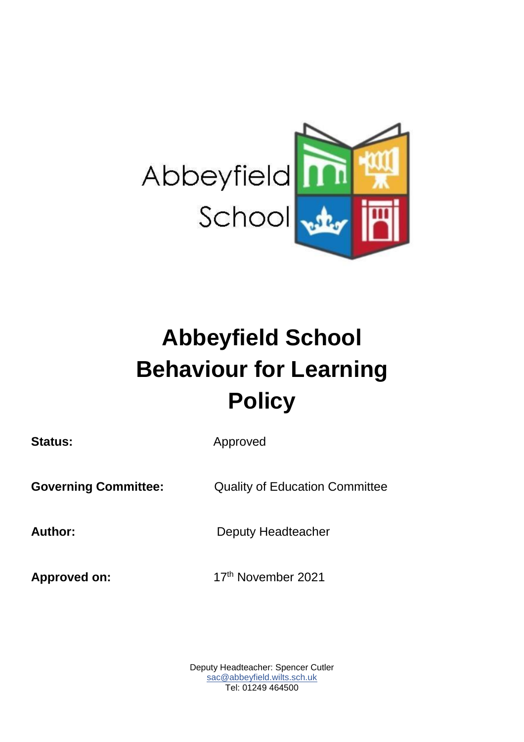

# **Abbeyfield School Behaviour for Learning Policy**

Status: **Approved Governing Committee:** Quality of Education Committee Author: **Deputy Headteacher** Approved on: 17<sup>th</sup> November 2021

> Deputy Headteacher: Spencer Cutler sac@abbeyfield.wilts.sch.uk Tel: 01249 464500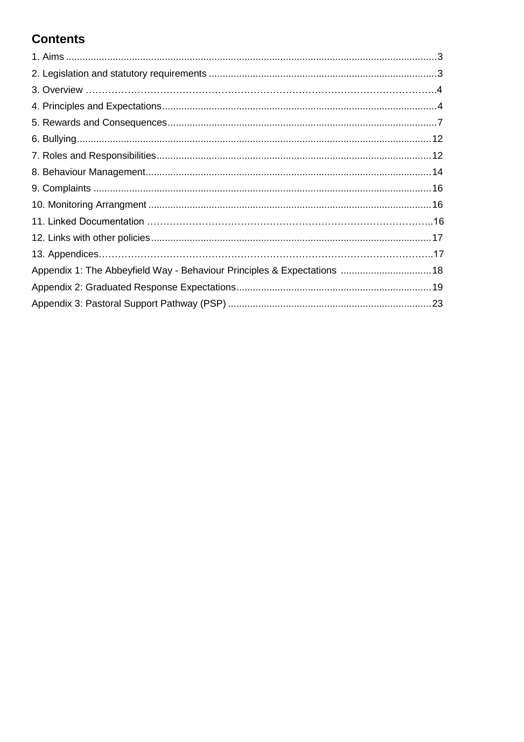# **Contents**

| Appendix 1: The Abbeyfield Way - Behaviour Principles & Expectations  18 |  |
|--------------------------------------------------------------------------|--|
|                                                                          |  |
|                                                                          |  |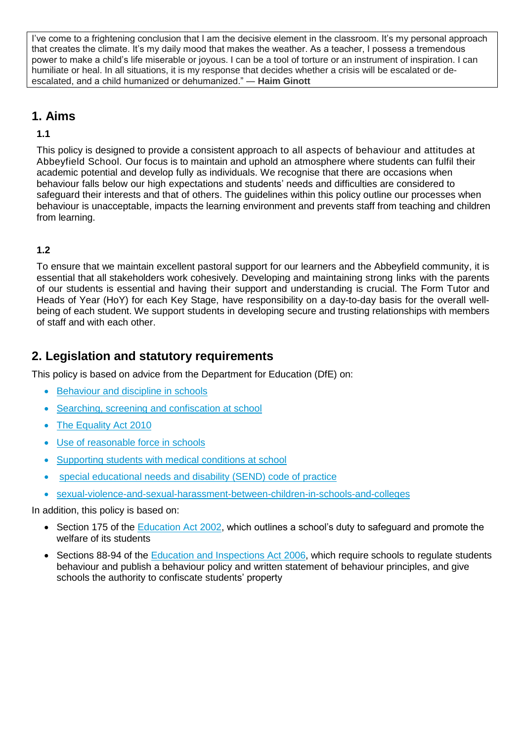I've come to a frightening conclusion that I am the decisive element in the classroom. It's my personal approach that creates the climate. It's my daily mood that makes the weather. As a teacher, I possess a tremendous power to make a child's life miserable or joyous. I can be a tool of torture or an instrument of inspiration. I can humiliate or heal. In all situations, it is my response that decides whether a crisis will be escalated or deescalated, and a child humanized or dehumanized." ― **Haim Ginott**

# **1. Aims**

#### **1.1**

This policy is designed to provide a consistent approach to all aspects of behaviour and attitudes at Abbeyfield School. Our focus is to maintain and uphold an atmosphere where students can fulfil their academic potential and develop fully as individuals. We recognise that there are occasions when behaviour falls below our high expectations and students' needs and difficulties are considered to safeguard their interests and that of others. The guidelines within this policy outline our processes when behaviour is unacceptable, impacts the learning environment and prevents staff from teaching and children from learning.

#### **1.2**

To ensure that we maintain excellent pastoral support for our learners and the Abbeyfield community, it is essential that all stakeholders work cohesively. Developing and maintaining strong links with the parents of our students is essential and having their support and understanding is crucial. The Form Tutor and Heads of Year (HoY) for each Key Stage, have responsibility on a day-to-day basis for the overall wellbeing of each student. We support students in developing secure and trusting relationships with members of staff and with each other.

# **2. Legislation and statutory requirements**

This policy is based on advice from the Department for Education (DfE) on:

- Behaviour and discipline in schools
- Searching, screening and confiscation at school
- The Equality Act 2010
- Use of reasonable force in schools
- Supporting students with medical conditions at school
- special educational needs and disability (SEND) code of practice
- sexual-violence-and-sexual-harassment-between-children-in-schools-and-colleges

In addition, this policy is based on:

- Section 175 of the Education Act 2002, which outlines a school's duty to safeguard and promote the welfare of its students
- Sections 88-94 of the Education and Inspections Act 2006, which require schools to regulate students behaviour and publish a behaviour policy and written statement of behaviour principles, and give schools the authority to confiscate students' property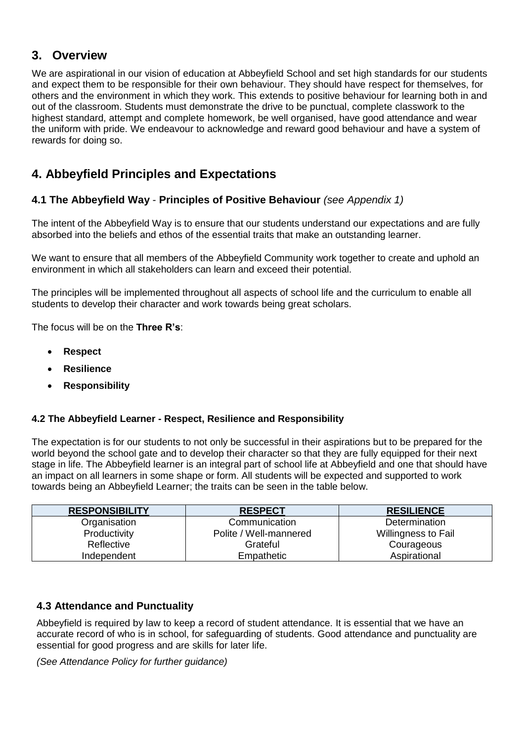## **3. Overview**

We are aspirational in our vision of education at Abbeyfield School and set high standards for our students and expect them to be responsible for their own behaviour. They should have respect for themselves, for others and the environment in which they work. This extends to positive behaviour for learning both in and out of the classroom. Students must demonstrate the drive to be punctual, complete classwork to the highest standard, attempt and complete homework, be well organised, have good attendance and wear the uniform with pride. We endeavour to acknowledge and reward good behaviour and have a system of rewards for doing so.

# **4. Abbeyfield Principles and Expectations**

#### **4.1 The Abbeyfield Way** - **Principles of Positive Behaviour** *(see Appendix 1)*

The intent of the Abbeyfield Way is to ensure that our students understand our expectations and are fully absorbed into the beliefs and ethos of the essential traits that make an outstanding learner.

We want to ensure that all members of the Abbeyfield Community work together to create and uphold an environment in which all stakeholders can learn and exceed their potential.

The principles will be implemented throughout all aspects of school life and the curriculum to enable all students to develop their character and work towards being great scholars.

The focus will be on the **Three R's**:

- **Respect**
- **Resilience**
- **Responsibility**

#### **4.2 The Abbeyfield Learner - Respect, Resilience and Responsibility**

The expectation is for our students to not only be successful in their aspirations but to be prepared for the world beyond the school gate and to develop their character so that they are fully equipped for their next stage in life. The Abbeyfield learner is an integral part of school life at Abbeyfield and one that should have an impact on all learners in some shape or form. All students will be expected and supported to work towards being an Abbeyfield Learner; the traits can be seen in the table below.

| <b>RESPONSIBILITY</b> | <b>RESPECT</b>         | <b>RESILIENCE</b>   |
|-----------------------|------------------------|---------------------|
| Organisation          | Communication          | Determination       |
| Productivity          | Polite / Well-mannered | Willingness to Fail |
| Reflective            | Grateful               | Courageous          |
| Independent           | Empathetic             | Aspirational        |

#### **4.3 Attendance and Punctuality**

Abbeyfield is required by law to keep a record of student attendance. It is essential that we have an accurate record of who is in school, for safeguarding of students. Good attendance and punctuality are essential for good progress and are skills for later life.

*(See Attendance Policy for further guidance)*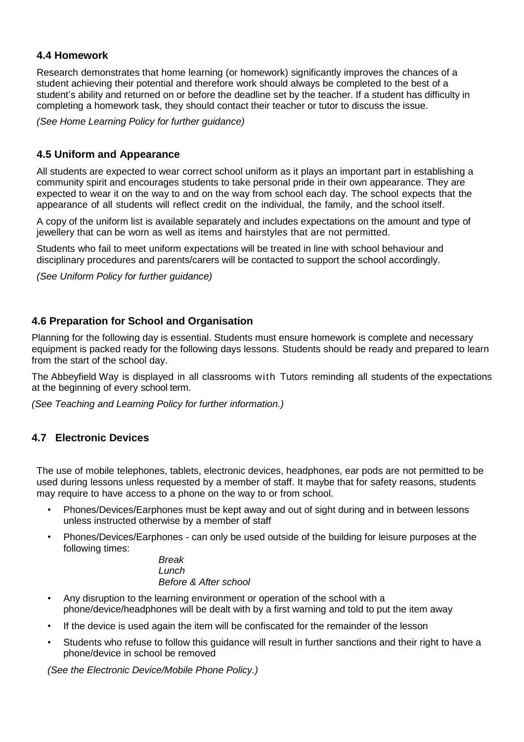#### **4.4 Homework**

Research demonstrates that home learning (or homework) significantly improves the chances of a student achieving their potential and therefore work should always be completed to the best of a student's ability and returned on or before the deadline set by the teacher. If a student has difficulty in completing a homework task, they should contact their teacher or tutor to discuss the issue.

*(See Home Learning Policy for further guidance)*

#### **4.5 Uniform and Appearance**

All students are expected to wear correct school uniform as it plays an important part in establishing a community spirit and encourages students to take personal pride in their own appearance. They are expected to wear it on the way to and on the way from school each day. The school expects that the appearance of all students will reflect credit on the individual, the family, and the school itself.

A copy of the uniform list is available separately and includes expectations on the amount and type of jewellery that can be worn as well as items and hairstyles that are not permitted.

Students who fail to meet uniform expectations will be treated in line with school behaviour and disciplinary procedures and parents/carers will be contacted to support the school accordingly.

*(See Uniform Policy for further guidance)*

#### **4.6 Preparation for School and Organisation**

Planning for the following day is essential. Students must ensure homework is complete and necessary equipment is packed ready for the following days lessons. Students should be ready and prepared to learn from the start of the school day.

The Abbeyfield Way is displayed in all classrooms with Tutors reminding all students of the expectations at the beginning of every school term.

*(See Teaching and Learning Policy for further information.)*

#### **4.7 Electronic Devices**

The use of mobile telephones, tablets, electronic devices, headphones, ear pods are not permitted to be used during lessons unless requested by a member of staff. It maybe that for safety reasons, students may require to have access to a phone on the way to or from school.

- Phones/Devices/Earphones must be kept away and out of sight during and in between lessons unless instructed otherwise by a member of staff
- Phones/Devices/Earphones can only be used outside of the building for leisure purposes at the following times:

*Break Lunch Before & After school*

- Any disruption to the learning environment or operation of the school with a phone/device/headphones will be dealt with by a first warning and told to put the item away
- If the device is used again the item will be confiscated for the remainder of the lesson
- Students who refuse to follow this guidance will result in further sanctions and their right to have a phone/device in school be removed

*(See the Electronic Device/Mobile Phone Policy.)*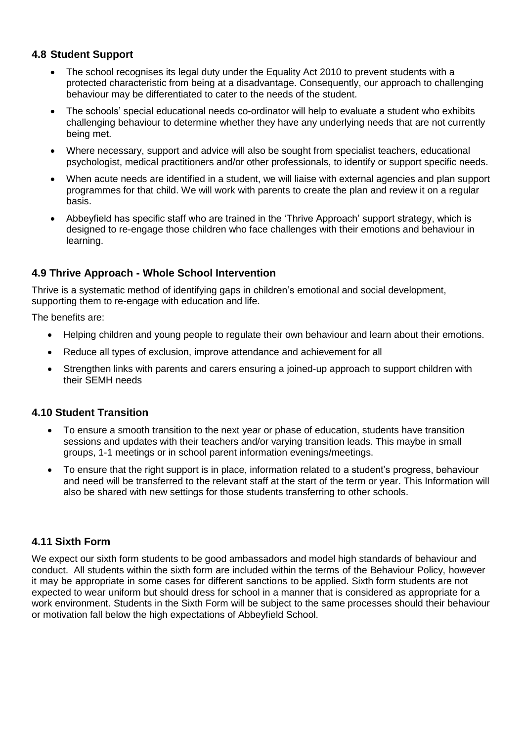#### **4.8 Student Support**

- The school recognises its legal duty under the Equality Act 2010 to prevent students with a protected characteristic from being at a disadvantage. Consequently, our approach to challenging behaviour may be differentiated to cater to the needs of the student.
- The schools' special educational needs co-ordinator will help to evaluate a student who exhibits challenging behaviour to determine whether they have any underlying needs that are not currently being met.
- Where necessary, support and advice will also be sought from specialist teachers, educational psychologist, medical practitioners and/or other professionals, to identify or support specific needs.
- When acute needs are identified in a student, we will liaise with external agencies and plan support programmes for that child. We will work with parents to create the plan and review it on a regular basis.
- Abbeyfield has specific staff who are trained in the 'Thrive Approach' support strategy, which is designed to re-engage those children who face challenges with their emotions and behaviour in learning.

#### **4.9 Thrive Approach - Whole School Intervention**

Thrive is a systematic method of identifying gaps in children's emotional and social development, supporting them to re-engage with education and life.

The benefits are:

- Helping children and young people to regulate their own behaviour and learn about their emotions.
- Reduce all types of exclusion, improve attendance and achievement for all
- Strengthen links with parents and carers ensuring a joined-up approach to support children with their SEMH needs

#### **4.10 Student Transition**

- To ensure a smooth transition to the next year or phase of education, students have transition sessions and updates with their teachers and/or varying transition leads. This maybe in small groups, 1-1 meetings or in school parent information evenings/meetings.
- To ensure that the right support is in place, information related to a student's progress, behaviour and need will be transferred to the relevant staff at the start of the term or year. This Information will also be shared with new settings for those students transferring to other schools.

#### **4.11 Sixth Form**

We expect our sixth form students to be good ambassadors and model high standards of behaviour and conduct. All students within the sixth form are included within the terms of the Behaviour Policy, however it may be appropriate in some cases for different sanctions to be applied. Sixth form students are not expected to wear uniform but should dress for school in a manner that is considered as appropriate for a work environment. Students in the Sixth Form will be subject to the same processes should their behaviour or motivation fall below the high expectations of Abbeyfield School.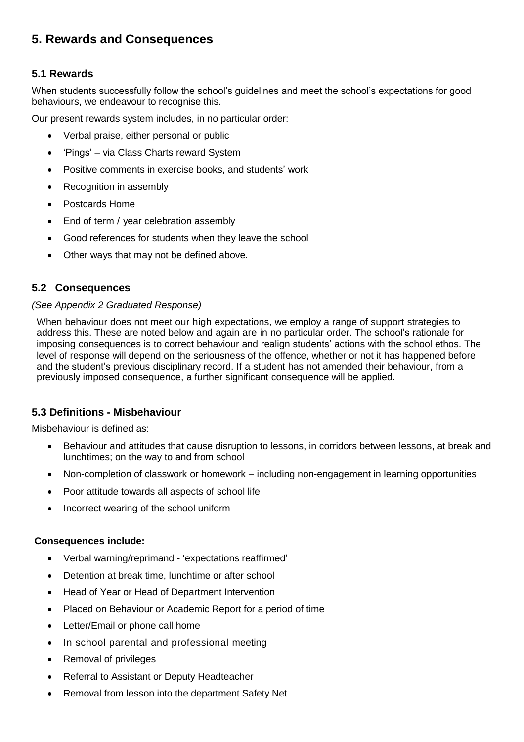# **5. Rewards and Consequences**

#### **5.1 Rewards**

When students successfully follow the school's guidelines and meet the school's expectations for good behaviours, we endeavour to recognise this.

Our present rewards system includes, in no particular order:

- Verbal praise, either personal or public
- 'Pings' via Class Charts reward System
- Positive comments in exercise books, and students' work
- Recognition in assembly
- Postcards Home
- End of term / year celebration assembly
- Good references for students when they leave the school
- Other ways that may not be defined above.

#### **5.2 Consequences**

#### *(See Appendix 2 Graduated Response)*

When behaviour does not meet our high expectations, we employ a range of support strategies to address this. These are noted below and again are in no particular order. The school's rationale for imposing consequences is to correct behaviour and realign students' actions with the school ethos. The level of response will depend on the seriousness of the offence, whether or not it has happened before and the student's previous disciplinary record. If a student has not amended their behaviour, from a previously imposed consequence, a further significant consequence will be applied.

#### **5.3 Definitions - Misbehaviour**

Misbehaviour is defined as:

- Behaviour and attitudes that cause disruption to lessons, in corridors between lessons, at break and lunchtimes; on the way to and from school
- Non-completion of classwork or homework including non-engagement in learning opportunities
- Poor attitude towards all aspects of school life
- Incorrect wearing of the school uniform

#### **Consequences include:**

- Verbal warning/reprimand 'expectations reaffirmed'
- Detention at break time, lunchtime or after school
- Head of Year or Head of Department Intervention
- Placed on Behaviour or Academic Report for a period of time
- Letter/Email or phone call home
- In school parental and professional meeting
- Removal of privileges
- Referral to Assistant or Deputy Headteacher
- Removal from lesson into the department Safety Net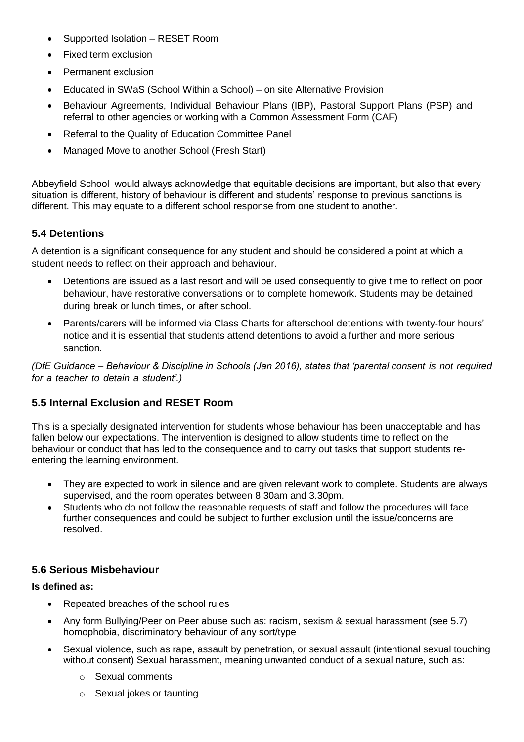- Supported Isolation RESET Room
- Fixed term exclusion
- Permanent exclusion
- Educated in SWaS (School Within a School) on site Alternative Provision
- Behaviour Agreements, Individual Behaviour Plans (IBP), Pastoral Support Plans (PSP) and referral to other agencies or working with a Common Assessment Form (CAF)
- Referral to the Quality of Education Committee Panel
- Managed Move to another School (Fresh Start)

Abbeyfield School would always acknowledge that equitable decisions are important, but also that every situation is different, history of behaviour is different and students' response to previous sanctions is different. This may equate to a different school response from one student to another.

#### **5.4 Detentions**

A detention is a significant consequence for any student and should be considered a point at which a student needs to reflect on their approach and behaviour.

- Detentions are issued as a last resort and will be used consequently to give time to reflect on poor behaviour, have restorative conversations or to complete homework. Students may be detained during break or lunch times, or after school.
- Parents/carers will be informed via Class Charts for afterschool detentions with twenty-four hours' notice and it is essential that students attend detentions to avoid a further and more serious sanction.

*(DfE Guidance – Behaviour & Discipline in Schools (Jan 2016), states that 'parental consent is not required for a teacher to detain a student'.)*

#### **5.5 Internal Exclusion and RESET Room**

This is a specially designated intervention for students whose behaviour has been unacceptable and has fallen below our expectations. The intervention is designed to allow students time to reflect on the behaviour or conduct that has led to the consequence and to carry out tasks that support students reentering the learning environment.

- They are expected to work in silence and are given relevant work to complete. Students are always supervised, and the room operates between 8.30am and 3.30pm.
- Students who do not follow the reasonable requests of staff and follow the procedures will face further consequences and could be subject to further exclusion until the issue/concerns are resolved.

#### **5.6 Serious Misbehaviour**

#### **Is defined as:**

- Repeated breaches of the school rules
- Any form Bullying/Peer on Peer abuse such as: racism, sexism & sexual harassment (see 5.7) homophobia, discriminatory behaviour of any sort/type
- Sexual violence, such as rape, assault by penetration, or sexual assault (intentional sexual touching without consent) Sexual harassment, meaning unwanted conduct of a sexual nature, such as:
	- o Sexual comments
	- o Sexual jokes or taunting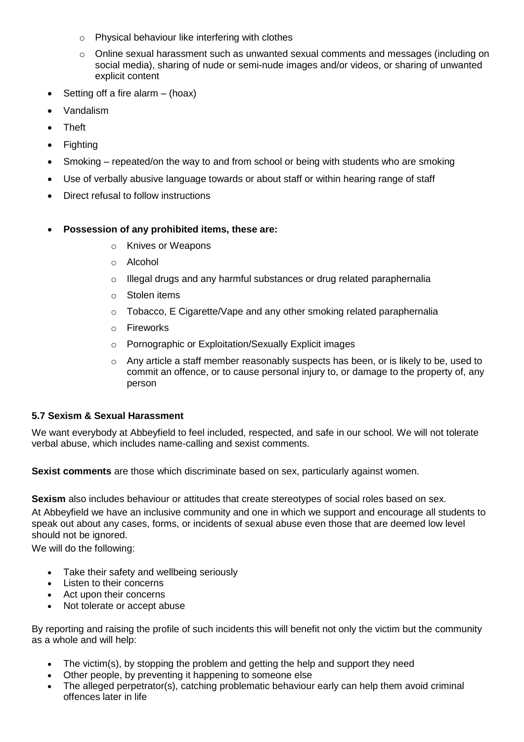- o Physical behaviour like interfering with clothes
- $\circ$  Online sexual harassment such as unwanted sexual comments and messages (including on social media), sharing of nude or semi-nude images and/or videos, or sharing of unwanted explicit content
- Setting off a fire alarm  $-$  (hoax)
- Vandalism
- Theft
- **Fighting**
- Smoking repeated/on the way to and from school or being with students who are smoking
- Use of verbally abusive language towards or about staff or within hearing range of staff
- Direct refusal to follow instructions
- **Possession of any prohibited items, these are:**
	- o Knives or Weapons
	- o Alcohol
	- $\circ$  Illegal drugs and any harmful substances or drug related paraphernalia
	- o Stolen items
	- $\circ$  Tobacco, E Cigarette/Vape and any other smoking related paraphernalia
	- o Fireworks
	- o Pornographic or Exploitation/Sexually Explicit images
	- $\circ$  Any article a staff member reasonably suspects has been, or is likely to be, used to commit an offence, or to cause personal injury to, or damage to the property of, any person

#### **5.7 Sexism & Sexual Harassment**

We want everybody at Abbeyfield to feel included, respected, and safe in our school. We will not tolerate verbal abuse, which includes name-calling and sexist comments.

**Sexist comments** are those which discriminate based on sex, particularly against women.

**Sexism** also includes behaviour or attitudes that create stereotypes of social roles based on sex.

At Abbeyfield we have an inclusive community and one in which we support and encourage all students to speak out about any cases, forms, or incidents of sexual abuse even those that are deemed low level should not be ignored.

We will do the following:

- Take their safety and wellbeing seriously
- Listen to their concerns
- Act upon their concerns
- Not tolerate or accept abuse

By reporting and raising the profile of such incidents this will benefit not only the victim but the community as a whole and will help:

- The victim(s), by stopping the problem and getting the help and support they need
- Other people, by preventing it happening to someone else
- The alleged perpetrator(s), catching problematic behaviour early can help them avoid criminal offences later in life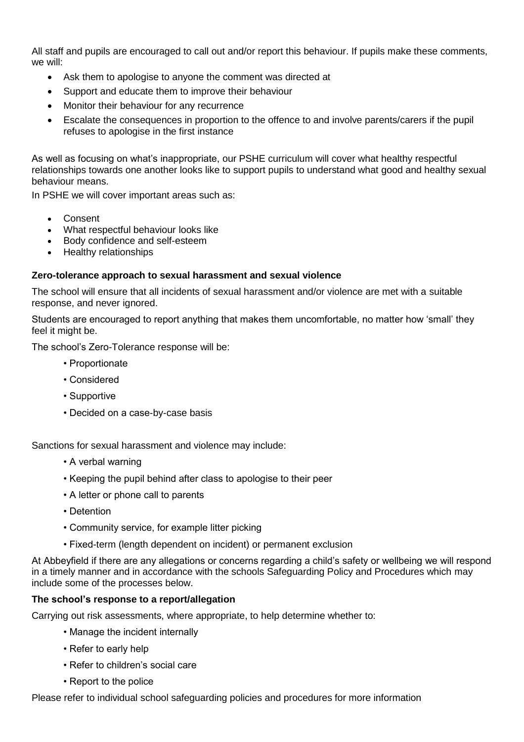All staff and pupils are encouraged to call out and/or report this behaviour. If pupils make these comments, we will:

- Ask them to apologise to anyone the comment was directed at
- Support and educate them to improve their behaviour
- Monitor their behaviour for any recurrence
- Escalate the consequences in proportion to the offence to and involve parents/carers if the pupil refuses to apologise in the first instance

As well as focusing on what's inappropriate, our PSHE curriculum will cover what healthy respectful relationships towards one another looks like to support pupils to understand what good and healthy sexual behaviour means.

In PSHE we will cover important areas such as:

- Consent
- What respectful behaviour looks like
- Body confidence and self-esteem
- Healthy relationships

#### **Zero-tolerance approach to sexual harassment and sexual violence**

The school will ensure that all incidents of sexual harassment and/or violence are met with a suitable response, and never ignored.

Students are encouraged to report anything that makes them uncomfortable, no matter how 'small' they feel it might be.

The school's Zero-Tolerance response will be:

- Proportionate
- Considered
- Supportive
- Decided on a case-by-case basis

Sanctions for sexual harassment and violence may include:

- A verbal warning
- Keeping the pupil behind after class to apologise to their peer
- A letter or phone call to parents
- Detention
- Community service, for example litter picking
- Fixed-term (length dependent on incident) or permanent exclusion

At Abbeyfield if there are any allegations or concerns regarding a child's safety or wellbeing we will respond in a timely manner and in accordance with the schools Safeguarding Policy and Procedures which may include some of the processes below.

#### **The school's response to a report/allegation**

Carrying out risk assessments, where appropriate, to help determine whether to:

- Manage the incident internally
- Refer to early help
- Refer to children's social care
- Report to the police

Please refer to individual school safeguarding policies and procedures for more information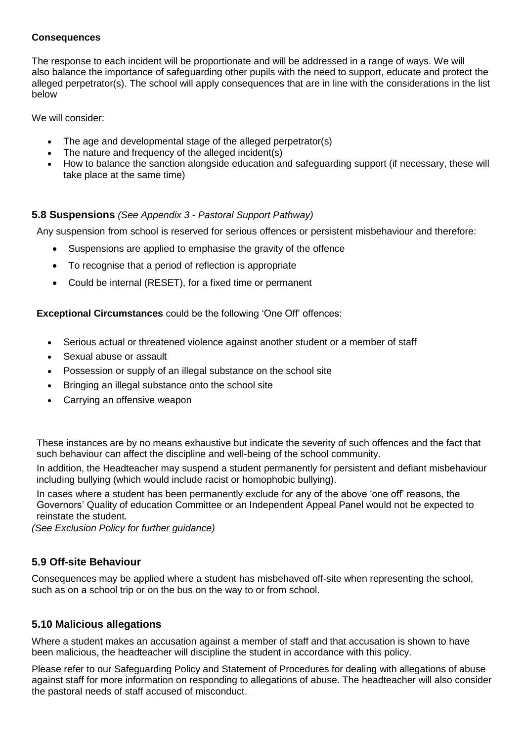#### **Consequences**

The response to each incident will be proportionate and will be addressed in a range of ways. We will also balance the importance of safeguarding other pupils with the need to support, educate and protect the alleged perpetrator(s). The school will apply consequences that are in line with the considerations in the list below

We will consider:

- The age and developmental stage of the alleged perpetrator(s)
- The nature and frequency of the alleged incident(s)
- How to balance the sanction alongside education and safeguarding support (if necessary, these will take place at the same time)

#### **5.8 Suspensions** *(See Appendix 3 - Pastoral Support Pathway)*

Any suspension from school is reserved for serious offences or persistent misbehaviour and therefore:

- Suspensions are applied to emphasise the gravity of the offence
- To recognise that a period of reflection is appropriate
- Could be internal (RESET), for a fixed time or permanent

**Exceptional Circumstances** could be the following 'One Off' offences:

- Serious actual or threatened violence against another student or a member of staff
- Sexual abuse or assault
- Possession or supply of an illegal substance on the school site
- Bringing an illegal substance onto the school site
- Carrying an offensive weapon

These instances are by no means exhaustive but indicate the severity of such offences and the fact that such behaviour can affect the discipline and well-being of the school community.

In addition, the Headteacher may suspend a student permanently for persistent and defiant misbehaviour including bullying (which would include racist or homophobic bullying).

In cases where a student has been permanently exclude for any of the above 'one off' reasons, the Governors' Quality of education Committee or an Independent Appeal Panel would not be expected to reinstate the student.

*(See Exclusion Policy for further guidance)*

#### **5.9 Off-site Behaviour**

Consequences may be applied where a student has misbehaved off-site when representing the school, such as on a school trip or on the bus on the way to or from school.

#### **5.10 Malicious allegations**

Where a student makes an accusation against a member of staff and that accusation is shown to have been malicious, the headteacher will discipline the student in accordance with this policy.

Please refer to our Safeguarding Policy and Statement of Procedures for dealing with allegations of abuse against staff for more information on responding to allegations of abuse. The headteacher will also consider the pastoral needs of staff accused of misconduct.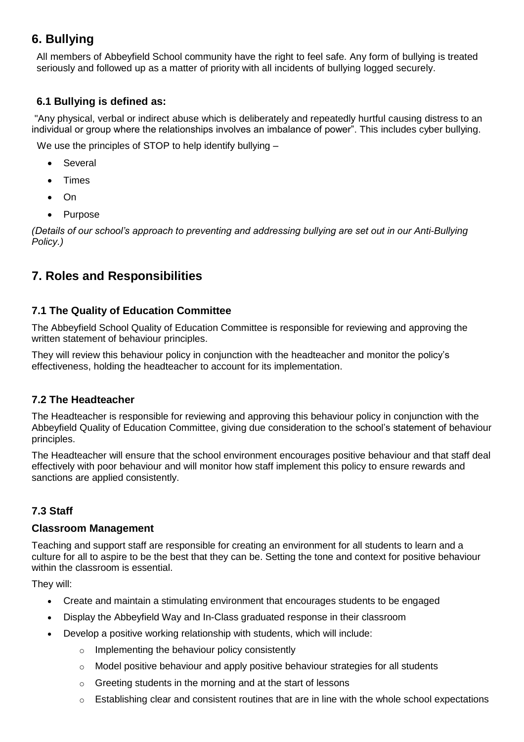# **6. Bullying**

All members of Abbeyfield School community have the right to feel safe. Any form of bullying is treated seriously and followed up as a matter of priority with all incidents of bullying logged securely.

#### **6.1 Bullying is defined as:**

"Any physical, verbal or indirect abuse which is deliberately and repeatedly hurtful causing distress to an individual or group where the relationships involves an imbalance of power". This includes cyber bullying.

We use the principles of STOP to help identify bullying –

- Several
- Times
- On
- Purpose

*(Details of our school's approach to preventing and addressing bullying are set out in our Anti-Bullying Policy.)*

## **7. Roles and Responsibilities**

#### **7.1 The Quality of Education Committee**

The Abbeyfield School Quality of Education Committee is responsible for reviewing and approving the written statement of behaviour principles.

They will review this behaviour policy in conjunction with the headteacher and monitor the policy's effectiveness, holding the headteacher to account for its implementation.

#### **7.2 The Headteacher**

The Headteacher is responsible for reviewing and approving this behaviour policy in conjunction with the Abbeyfield Quality of Education Committee, giving due consideration to the school's statement of behaviour principles.

The Headteacher will ensure that the school environment encourages positive behaviour and that staff deal effectively with poor behaviour and will monitor how staff implement this policy to ensure rewards and sanctions are applied consistently.

#### **7.3 Staff**

#### **Classroom Management**

Teaching and support staff are responsible for creating an environment for all students to learn and a culture for all to aspire to be the best that they can be. Setting the tone and context for positive behaviour within the classroom is essential.

They will:

- Create and maintain a stimulating environment that encourages students to be engaged
- Display the Abbeyfield Way and In-Class graduated response in their classroom
- Develop a positive working relationship with students, which will include:
	- o Implementing the behaviour policy consistently
	- $\circ$  Model positive behaviour and apply positive behaviour strategies for all students
	- $\circ$  Greeting students in the morning and at the start of lessons
	- $\circ$  Establishing clear and consistent routines that are in line with the whole school expectations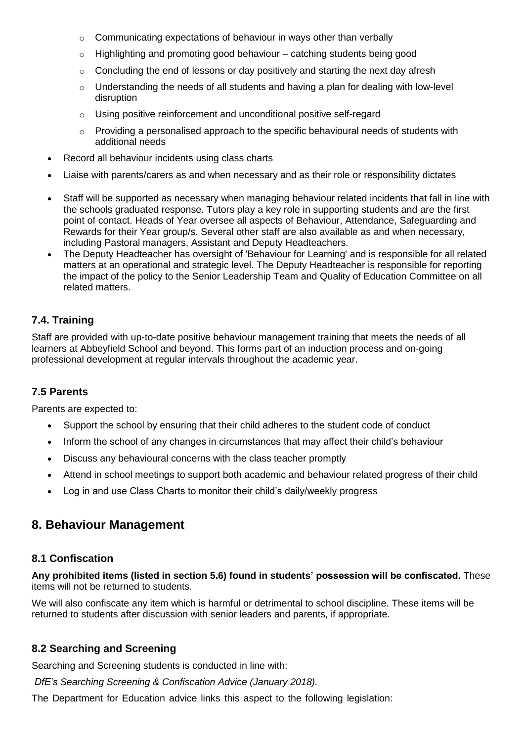- o Communicating expectations of behaviour in ways other than verbally
- $\circ$  Highlighting and promoting good behaviour catching students being good
- $\circ$  Concluding the end of lessons or day positively and starting the next day afresh
- $\circ$  Understanding the needs of all students and having a plan for dealing with low-level disruption
- o Using positive reinforcement and unconditional positive self-regard
- $\circ$  Providing a personalised approach to the specific behavioural needs of students with additional needs
- Record all behaviour incidents using class charts
- Liaise with parents/carers as and when necessary and as their role or responsibility dictates
- Staff will be supported as necessary when managing behaviour related incidents that fall in line with the schools graduated response. Tutors play a key role in supporting students and are the first point of contact. Heads of Year oversee all aspects of Behaviour, Attendance, Safeguarding and Rewards for their Year group/s. Several other staff are also available as and when necessary, including Pastoral managers, Assistant and Deputy Headteachers.
- The Deputy Headteacher has oversight of 'Behaviour for Learning' and is responsible for all related matters at an operational and strategic level. The Deputy Headteacher is responsible for reporting the impact of the policy to the Senior Leadership Team and Quality of Education Committee on all related matters.

#### **7.4. Training**

Staff are provided with up-to-date positive behaviour management training that meets the needs of all learners at Abbeyfield School and beyond. This forms part of an induction process and on-going professional development at regular intervals throughout the academic year.

#### **7.5 Parents**

Parents are expected to:

- Support the school by ensuring that their child adheres to the student code of conduct
- Inform the school of any changes in circumstances that may affect their child's behaviour
- Discuss any behavioural concerns with the class teacher promptly
- Attend in school meetings to support both academic and behaviour related progress of their child
- Log in and use Class Charts to monitor their child's daily/weekly progress

## **8. Behaviour Management**

#### **8.1 Confiscation**

**Any prohibited items (listed in section 5.6) found in students' possession will be confiscated.** These items will not be returned to students.

We will also confiscate any item which is harmful or detrimental to school discipline. These items will be returned to students after discussion with senior leaders and parents, if appropriate.

#### **8.2 Searching and Screening**

Searching and Screening students is conducted in line with:

*DfE's Searching Screening & Confiscation Advice (January 2018).*

The Department for Education advice links this aspect to the following legislation: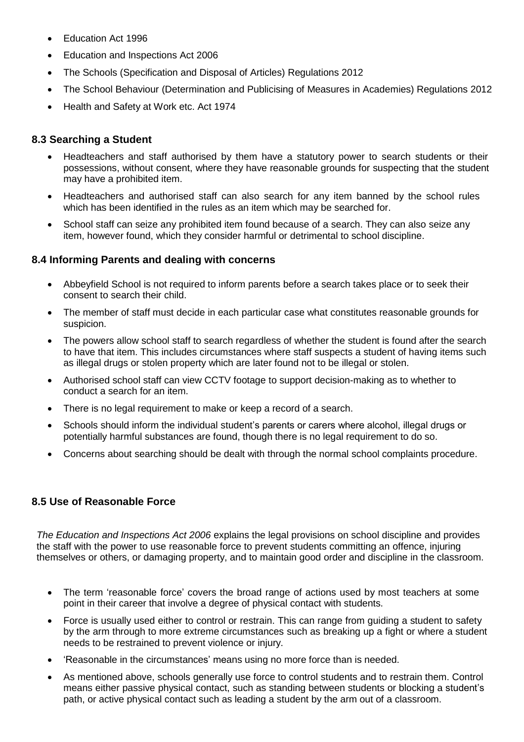- Education Act 1996
- Education and Inspections Act 2006
- The Schools (Specification and Disposal of Articles) Regulations 2012
- The School Behaviour (Determination and Publicising of Measures in Academies) Regulations 2012
- Health and Safety at Work etc. Act 1974

#### **8.3 Searching a Student**

- Headteachers and staff authorised by them have a statutory power to search students or their possessions, without consent, where they have reasonable grounds for suspecting that the student may have a prohibited item.
- Headteachers and authorised staff can also search for any item banned by the school rules which has been identified in the rules as an item which may be searched for.
- School staff can seize any prohibited item found because of a search. They can also seize any item, however found, which they consider harmful or detrimental to school discipline.

#### **8.4 Informing Parents and dealing with concerns**

- Abbeyfield School is not required to inform parents before a search takes place or to seek their consent to search their child.
- The member of staff must decide in each particular case what constitutes reasonable grounds for suspicion.
- The powers allow school staff to search regardless of whether the student is found after the search to have that item. This includes circumstances where staff suspects a student of having items such as illegal drugs or stolen property which are later found not to be illegal or stolen.
- Authorised school staff can view CCTV footage to support decision-making as to whether to conduct a search for an item.
- There is no legal requirement to make or keep a record of a search.
- Schools should inform the individual student's parents or carers where alcohol, illegal drugs or potentially harmful substances are found, though there is no legal requirement to do so.
- Concerns about searching should be dealt with through the normal school complaints procedure.

#### **8.5 Use of Reasonable Force**

*The Education and Inspections Act 2006* explains the legal provisions on school discipline and provides the staff with the power to use reasonable force to prevent students committing an offence, injuring themselves or others, or damaging property, and to maintain good order and discipline in the classroom.

- The term 'reasonable force' covers the broad range of actions used by most teachers at some point in their career that involve a degree of physical contact with students.
- Force is usually used either to control or restrain. This can range from guiding a student to safety by the arm through to more extreme circumstances such as breaking up a fight or where a student needs to be restrained to prevent violence or injury.
- 'Reasonable in the circumstances' means using no more force than is needed.
- As mentioned above, schools generally use force to control students and to restrain them. Control means either passive physical contact, such as standing between students or blocking a student's path, or active physical contact such as leading a student by the arm out of a classroom.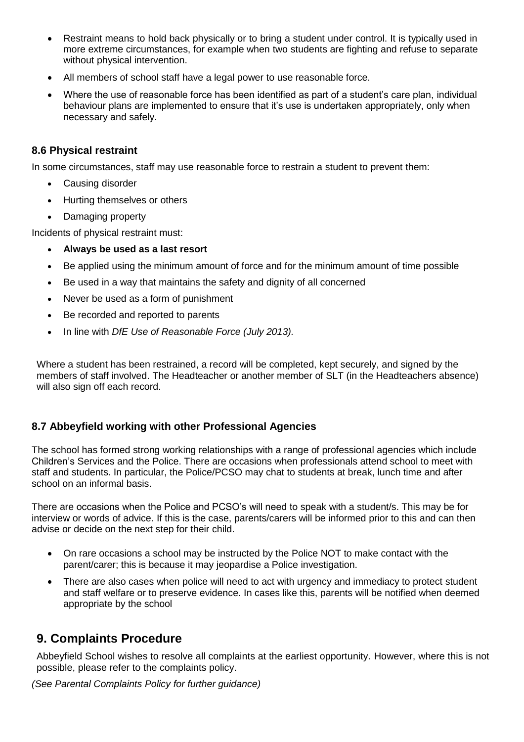- Restraint means to hold back physically or to bring a student under control. It is typically used in more extreme circumstances, for example when two students are fighting and refuse to separate without physical intervention.
- All members of school staff have a legal power to use reasonable force.
- Where the use of reasonable force has been identified as part of a student's care plan, individual behaviour plans are implemented to ensure that it's use is undertaken appropriately, only when necessary and safely.

#### **8.6 Physical restraint**

In some circumstances, staff may use reasonable force to restrain a student to prevent them:

- Causing disorder
- Hurting themselves or others
- Damaging property

Incidents of physical restraint must:

- **Always be used as a last resort**
- Be applied using the minimum amount of force and for the minimum amount of time possible
- Be used in a way that maintains the safety and dignity of all concerned
- Never be used as a form of punishment
- Be recorded and reported to parents
- In line with *DfE Use of Reasonable Force (July 2013).*

Where a student has been restrained, a record will be completed, kept securely, and signed by the members of staff involved. The Headteacher or another member of SLT (in the Headteachers absence) will also sign off each record.

#### **8.7 Abbeyfield working with other Professional Agencies**

The school has formed strong working relationships with a range of professional agencies which include Children's Services and the Police. There are occasions when professionals attend school to meet with staff and students. In particular, the Police/PCSO may chat to students at break, lunch time and after school on an informal basis.

There are occasions when the Police and PCSO's will need to speak with a student/s. This may be for interview or words of advice. If this is the case, parents/carers will be informed prior to this and can then advise or decide on the next step for their child.

- On rare occasions a school may be instructed by the Police NOT to make contact with the parent/carer; this is because it may jeopardise a Police investigation.
- There are also cases when police will need to act with urgency and immediacy to protect student and staff welfare or to preserve evidence. In cases like this, parents will be notified when deemed appropriate by the school

## **9. Complaints Procedure**

Abbeyfield School wishes to resolve all complaints at the earliest opportunity. However, where this is not possible, please refer to the complaints policy.

*(See Parental Complaints Policy for further guidance)*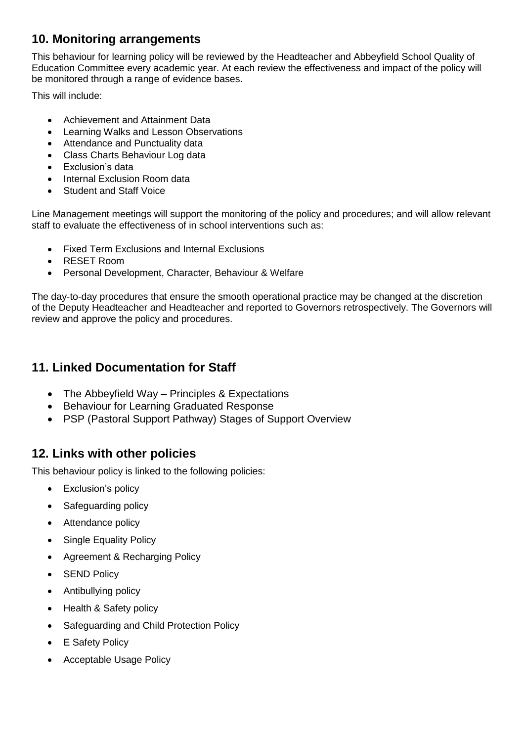# **10. Monitoring arrangements**

This behaviour for learning policy will be reviewed by the Headteacher and Abbeyfield School Quality of Education Committee every academic year. At each review the effectiveness and impact of the policy will be monitored through a range of evidence bases.

This will include:

- Achievement and Attainment Data
- Learning Walks and Lesson Observations
- Attendance and Punctuality data
- Class Charts Behaviour Log data
- Exclusion's data
- Internal Exclusion Room data
- Student and Staff Voice

Line Management meetings will support the monitoring of the policy and procedures; and will allow relevant staff to evaluate the effectiveness of in school interventions such as:

- Fixed Term Exclusions and Internal Exclusions
- RESET Room
- Personal Development, Character, Behaviour & Welfare

The day-to-day procedures that ensure the smooth operational practice may be changed at the discretion of the Deputy Headteacher and Headteacher and reported to Governors retrospectively. The Governors will review and approve the policy and procedures.

# **11. Linked Documentation for Staff**

- The Abbeyfield Way Principles & Expectations
- Behaviour for Learning Graduated Response
- PSP (Pastoral Support Pathway) Stages of Support Overview

# **12. Links with other policies**

This behaviour policy is linked to the following policies:

- Exclusion's policy
- Safeguarding policy
- Attendance policy
- Single Equality Policy
- Agreement & Recharging Policy
- SEND Policy
- Antibullying policy
- Health & Safety policy
- Safeguarding and Child Protection Policy
- **E** Safety Policy
- Acceptable Usage Policy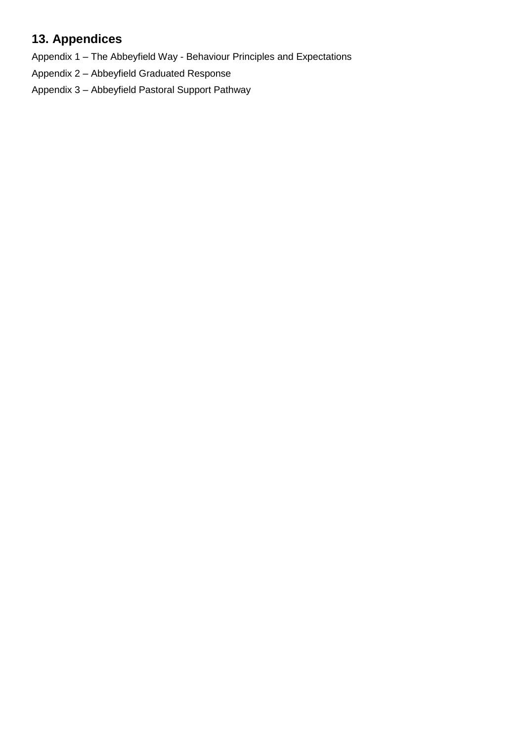# **13. Appendices**

Appendix 1 – The Abbeyfield Way - Behaviour Principles and Expectations

Appendix 2 – Abbeyfield Graduated Response

Appendix 3 – Abbeyfield Pastoral Support Pathway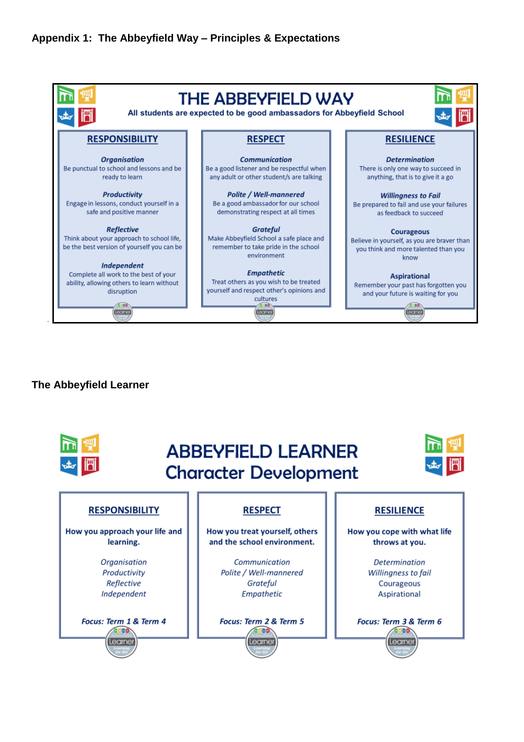#### **Appendix 1: The Abbeyfield Way – Principles & Expectations**



#### **The Abbeyfield Learner**

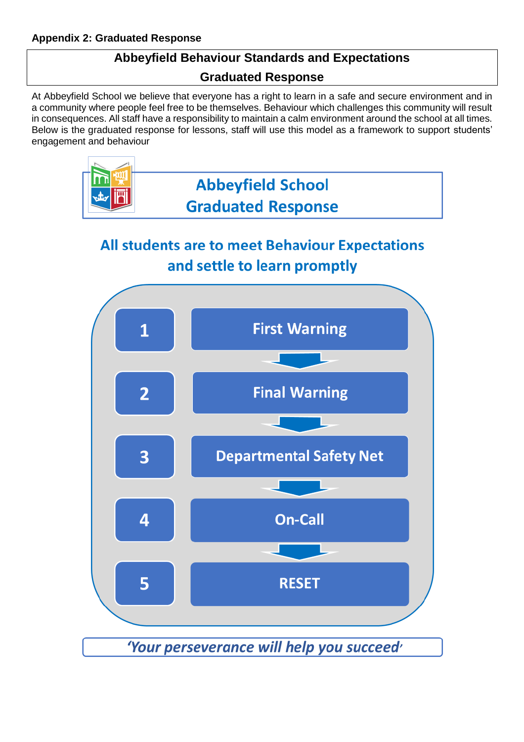# **Abbeyfield Behaviour Standards and Expectations**

## **Graduated Response**

At Abbeyfield School we believe that everyone has a right to learn in a safe and secure environment and in a community where people feel free to be themselves. Behaviour which challenges this community will result in consequences. All staff have a responsibility to maintain a calm environment around the school at all times. Below is the graduated response for lessons, staff will use this model as a framework to support students' engagement and behaviour



# **All students are to meet Behaviour Expectations** and settle to learn promptly

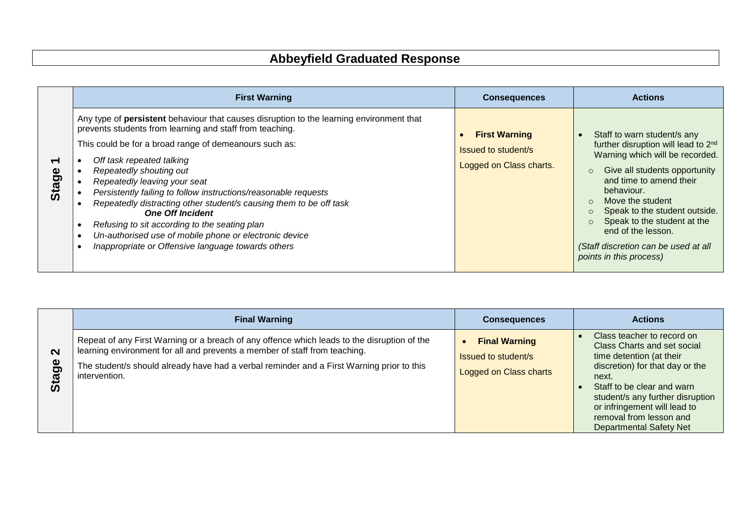# **Abbeyfield Graduated Response**

|       | <b>First Warning</b>                                                                                                                                                                                                                                                                                                                                                                                                                                                                                                                                                                                                                        | <b>Consequences</b>                                                    | <b>Actions</b>                                                                                                                                                                                                                                                                                                                                                                                             |
|-------|---------------------------------------------------------------------------------------------------------------------------------------------------------------------------------------------------------------------------------------------------------------------------------------------------------------------------------------------------------------------------------------------------------------------------------------------------------------------------------------------------------------------------------------------------------------------------------------------------------------------------------------------|------------------------------------------------------------------------|------------------------------------------------------------------------------------------------------------------------------------------------------------------------------------------------------------------------------------------------------------------------------------------------------------------------------------------------------------------------------------------------------------|
| Stage | Any type of persistent behaviour that causes disruption to the learning environment that<br>prevents students from learning and staff from teaching.<br>This could be for a broad range of demeanours such as:<br>Off task repeated talking<br>Repeatedly shouting out<br>Repeatedly leaving your seat<br>Persistently failing to follow instructions/reasonable requests<br>Repeatedly distracting other student/s causing them to be off task<br><b>One Off Incident</b><br>Refusing to sit according to the seating plan<br>Un-authorised use of mobile phone or electronic device<br>Inappropriate or Offensive language towards others | <b>First Warning</b><br>Issued to student/s<br>Logged on Class charts. | Staff to warn student/s any<br>further disruption will lead to 2 <sup>nd</sup><br>Warning which will be recorded.<br>Give all students opportunity<br>and time to amend their<br>behaviour.<br>Move the student<br>$\Omega$<br>Speak to the student outside.<br>$\circ$<br>Speak to the student at the<br>$\circ$<br>end of the lesson.<br>(Staff discretion can be used at all<br>points in this process) |

|                                                 | <b>Final Warning</b>                                                                                                                                                                                                                                                                    | <b>Consequences</b>                                                          | <b>Actions</b>                                                                                                                                                                                                                                                 |
|-------------------------------------------------|-----------------------------------------------------------------------------------------------------------------------------------------------------------------------------------------------------------------------------------------------------------------------------------------|------------------------------------------------------------------------------|----------------------------------------------------------------------------------------------------------------------------------------------------------------------------------------------------------------------------------------------------------------|
| $\mathbf{\Omega}$<br><u>ဗ</u><br>ω<br>$\bar{a}$ | Repeat of any First Warning or a breach of any offence which leads to the disruption of the<br>learning environment for all and prevents a member of staff from teaching.<br>The student/s should already have had a verbal reminder and a First Warning prior to this<br>intervention. | <b>Final Warning</b><br><b>Issued to student/s</b><br>Logged on Class charts | Class teacher to record on<br>Class Charts and set social<br>time detention (at their<br>discretion) for that day or the<br>next.<br>Staff to be clear and warn<br>student/s any further disruption<br>or infringement will lead to<br>removal from lesson and |
|                                                 |                                                                                                                                                                                                                                                                                         |                                                                              | <b>Departmental Safety Net</b>                                                                                                                                                                                                                                 |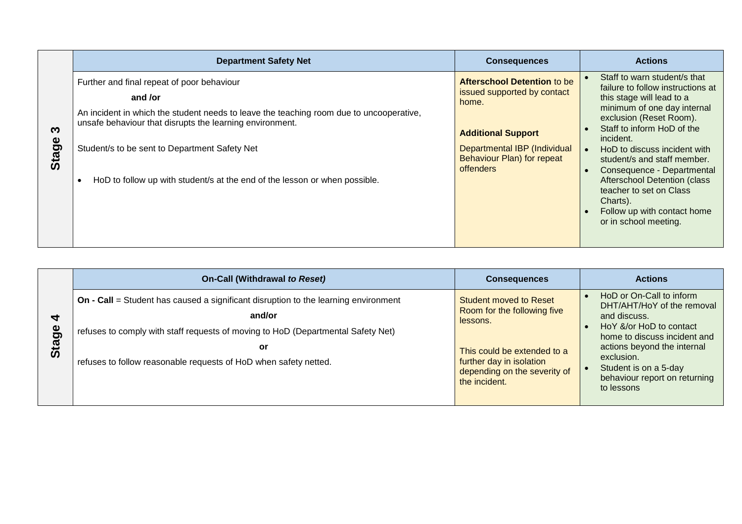|            | <b>Department Safety Net</b>                                                                                                                                                                                                                                                                                                                | <b>Consequences</b>                                                                                                                                                                | <b>Actions</b>                                                                                                                                                                                                                                                                                                                                                                                                                                      |
|------------|---------------------------------------------------------------------------------------------------------------------------------------------------------------------------------------------------------------------------------------------------------------------------------------------------------------------------------------------|------------------------------------------------------------------------------------------------------------------------------------------------------------------------------------|-----------------------------------------------------------------------------------------------------------------------------------------------------------------------------------------------------------------------------------------------------------------------------------------------------------------------------------------------------------------------------------------------------------------------------------------------------|
| ຕ<br>Stage | Further and final repeat of poor behaviour<br>and /or<br>An incident in which the student needs to leave the teaching room due to uncooperative,<br>unsafe behaviour that disrupts the learning environment.<br>Student/s to be sent to Department Safety Net<br>HoD to follow up with student/s at the end of the lesson or when possible. | Afterschool Detention to be<br>issued supported by contact<br>home.<br><b>Additional Support</b><br>Departmental IBP (Individual<br>Behaviour Plan) for repeat<br><b>offenders</b> | Staff to warn student/s that<br>failure to follow instructions at<br>this stage will lead to a<br>minimum of one day internal<br>exclusion (Reset Room).<br>Staff to inform HoD of the<br>incident.<br>HoD to discuss incident with<br>student/s and staff member.<br>Consequence - Departmental<br>$\bullet$<br><b>Afterschool Detention (class</b><br>teacher to set on Class<br>Charts).<br>Follow up with contact home<br>or in school meeting. |

|                                    | <b>On-Call (Withdrawal to Reset)</b>                                                                                                                                                                                                                               | <b>Consequences</b>                                                                                                                                                           | <b>Actions</b>                                                                                                                                                                                                                                           |
|------------------------------------|--------------------------------------------------------------------------------------------------------------------------------------------------------------------------------------------------------------------------------------------------------------------|-------------------------------------------------------------------------------------------------------------------------------------------------------------------------------|----------------------------------------------------------------------------------------------------------------------------------------------------------------------------------------------------------------------------------------------------------|
| ₹<br>Φ<br>ه<br>$\bar{\bm{\omega}}$ | <b>On - Call = Student has caused a significant disruption to the learning environment</b><br>and/or<br>refuses to comply with staff requests of moving to HoD (Departmental Safety Net)<br>or<br>refuses to follow reasonable requests of HoD when safety netted. | Student moved to Reset<br>Room for the following five<br>lessons.<br>This could be extended to a<br>further day in isolation<br>depending on the severity of<br>the incident. | HoD or On-Call to inform<br>DHT/AHT/HoY of the removal<br>and discuss.<br>Ho Y &/or Ho D to contact<br>home to discuss incident and<br>actions beyond the internal<br>exclusion.<br>Student is on a 5-day<br>behaviour report on returning<br>to lessons |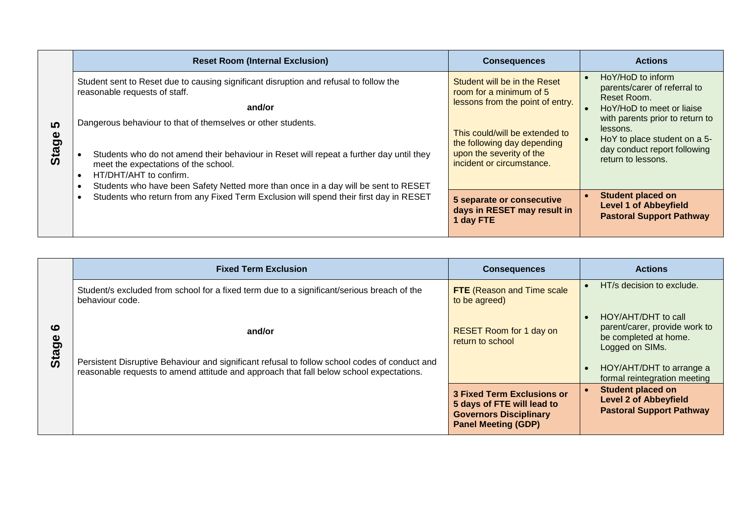|                   | <b>Reset Room (Internal Exclusion)</b>                                                                                                                                                                                                                                                                          | <b>Consequences</b>                                                                                                    | <b>Actions</b>                                                                                                                    |
|-------------------|-----------------------------------------------------------------------------------------------------------------------------------------------------------------------------------------------------------------------------------------------------------------------------------------------------------------|------------------------------------------------------------------------------------------------------------------------|-----------------------------------------------------------------------------------------------------------------------------------|
| <b>5</b><br>Stage | Student sent to Reset due to causing significant disruption and refusal to follow the<br>reasonable requests of staff.<br>and/or                                                                                                                                                                                | Student will be in the Reset<br>room for a minimum of 5<br>lessons from the point of entry.                            | HoY/HoD to inform<br>$\bullet$<br>parents/carer of referral to<br>Reset Room.<br>HoY/HoD to meet or liaise                        |
|                   | Dangerous behaviour to that of themselves or other students.<br>Students who do not amend their behaviour in Reset will repeat a further day until they<br>meet the expectations of the school.<br>HT/DHT/AHT to confirm.<br>Students who have been Safety Netted more than once in a day will be sent to RESET | This could/will be extended to<br>the following day depending<br>upon the severity of the<br>incident or circumstance. | with parents prior to return to<br>lessons.<br>HoY to place student on a 5-<br>day conduct report following<br>return to lessons. |
|                   | Students who return from any Fixed Term Exclusion will spend their first day in RESET                                                                                                                                                                                                                           | 5 separate or consecutive<br>days in RESET may result in<br>I day FTE                                                  | <b>Student placed on</b><br><b>Level 1 of Abbeyfield</b><br><b>Pastoral Support Pathway</b>                                       |

|                       | <b>Fixed Term Exclusion</b>                                                                                                                                                              | <b>Consequences</b>                                                                                                            | <b>Actions</b>                                                                                   |
|-----------------------|------------------------------------------------------------------------------------------------------------------------------------------------------------------------------------------|--------------------------------------------------------------------------------------------------------------------------------|--------------------------------------------------------------------------------------------------|
|                       | Student/s excluded from school for a fixed term due to a significant/serious breach of the<br>behaviour code.                                                                            | <b>FTE</b> (Reason and Time scale<br>to be agreed)                                                                             | HT/s decision to exclude.                                                                        |
| ശ<br>Φ<br><b>Stag</b> | and/or                                                                                                                                                                                   | <b>RESET Room for 1 day on</b><br>return to school                                                                             | HOY/AHT/DHT to call<br>parent/carer, provide work to<br>be completed at home.<br>Logged on SIMs. |
|                       | Persistent Disruptive Behaviour and significant refusal to follow school codes of conduct and<br>reasonable requests to amend attitude and approach that fall below school expectations. |                                                                                                                                | HOY/AHT/DHT to arrange a<br>formal reintegration meeting                                         |
|                       |                                                                                                                                                                                          | <b>3 Fixed Term Exclusions or</b><br>5 days of FTE will lead to<br><b>Governors Disciplinary</b><br><b>Panel Meeting (GDP)</b> | <b>Student placed on</b><br><b>Level 2 of Abbeyfield</b><br><b>Pastoral Support Pathway</b>      |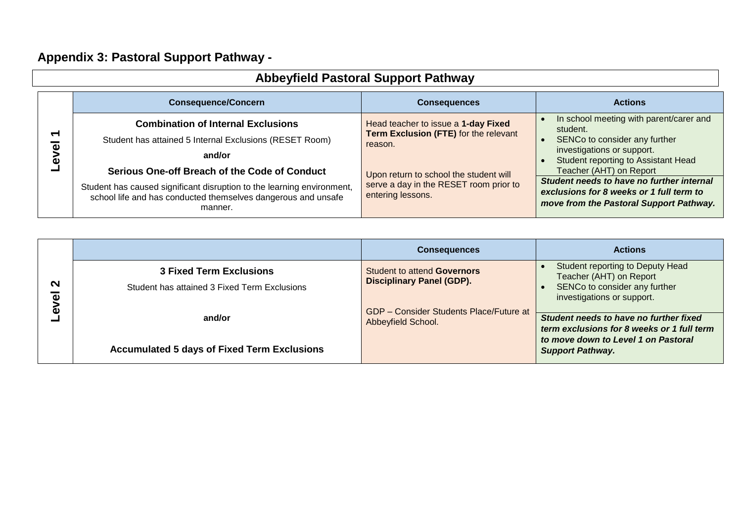# **Appendix 3: Pastoral Support Pathway -**

| <b>Abbeyfield Pastoral Support Pathway</b>               |                                                                                                                                                                                                     |                                                                                                       |                                                                                                                                                             |
|----------------------------------------------------------|-----------------------------------------------------------------------------------------------------------------------------------------------------------------------------------------------------|-------------------------------------------------------------------------------------------------------|-------------------------------------------------------------------------------------------------------------------------------------------------------------|
|                                                          | <b>Consequence/Concern</b>                                                                                                                                                                          | <b>Consequences</b>                                                                                   | <b>Actions</b>                                                                                                                                              |
| $\overline{\phantom{0}}$<br>$\overline{\mathbf{c}}$<br>Φ | <b>Combination of Internal Exclusions</b><br>Student has attained 5 Internal Exclusions (RESET Room)<br>and/or                                                                                      | Head teacher to issue a 1-day Fixed<br>Term Exclusion (FTE) for the relevant<br>reason.               | In school meeting with parent/carer and<br>student.<br>SENCo to consider any further<br>investigations or support.<br>Student reporting to Assistant Head   |
|                                                          | Serious One-off Breach of the Code of Conduct<br>Student has caused significant disruption to the learning environment,<br>school life and has conducted themselves dangerous and unsafe<br>manner. | Upon return to school the student will<br>serve a day in the RESET room prior to<br>entering lessons. | Teacher (AHT) on Report<br>Student needs to have no further internal<br>exclusions for 8 weeks or 1 full term to<br>move from the Pastoral Support Pathway. |

|                                                   |                                                                                | <b>Consequences</b>                                                  | <b>Actions</b>                                                                                                              |
|---------------------------------------------------|--------------------------------------------------------------------------------|----------------------------------------------------------------------|-----------------------------------------------------------------------------------------------------------------------------|
| $\mathbf{\Omega}$<br>$\overline{\mathbf{v}}$<br>ω | <b>3 Fixed Term Exclusions</b><br>Student has attained 3 Fixed Term Exclusions | Student to attend Governors<br><b>Disciplinary Panel (GDP).</b>      | Student reporting to Deputy Head<br>Teacher (AHT) on Report<br>SENCo to consider any further<br>investigations or support.  |
|                                                   | and/or                                                                         | <b>GDP</b> - Consider Students Place/Future at<br>Abbeyfield School. | Student needs to have no further fixed<br>term exclusions for 8 weeks or 1 full term<br>to move down to Level 1 on Pastoral |
|                                                   | <b>Accumulated 5 days of Fixed Term Exclusions</b>                             |                                                                      | <b>Support Pathway.</b>                                                                                                     |